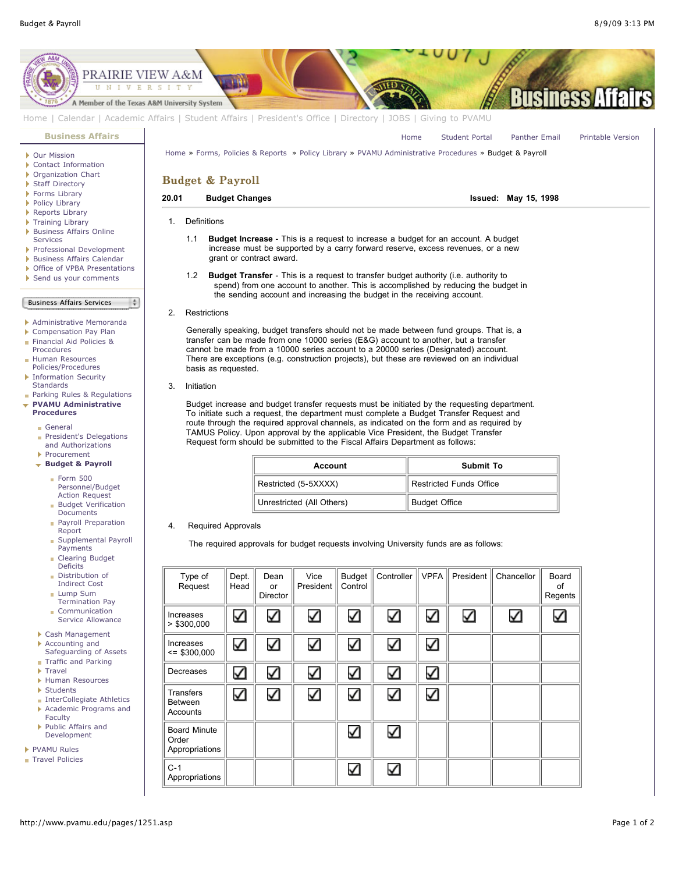

- [Traffic and Parking](http://www.pvamu.edu/pages/1348.asp)
- **F**[Travel](http://www.pvamu.edu/pages/1350.asp)
- [Human Resources](http://www.pvamu.edu/pages/1358.asp)
- [Students](http://www.pvamu.edu/pages/1374.asp)
- **[InterCollegiate Athletics](http://www.pvamu.edu/pages/1390.asp)**
- [Academic Programs and](http://www.pvamu.edu/pages/1391.asp) **Faculty**
- ▶ [Public Affairs and](http://www.pvamu.edu/pages/1410.asp) Development

[PVAMU Rules](http://www.pvamu.edu/pages/1412.asp)

[Travel Policies](http://www.pvamu.edu/pages/1414.asp)

Decreases **Transfers** Between Accounts Board Minute Order Appropriations  $\checkmark$ 

 $\checkmark$ 

✓

✓

✓

 $\checkmark$ 

✓

✓

Κ

✓

✓

✓

✓

✓

✓

✓

 $C-1$ 

Appropriations